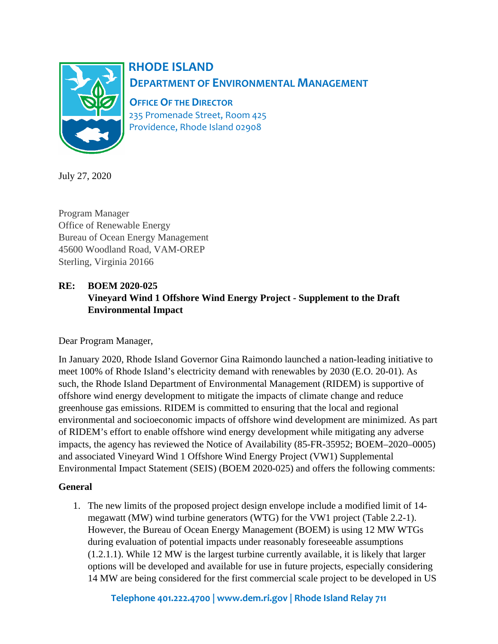

# **RHODE ISLAND DEPARTMENT OF ENVIRONMENTAL MANAGEMENT**

 **OFFICEOF THE DIRECTOR** 235 Promenade Street, Room 425 Providence, Rhode Island 02908

July 27, 2020

Program Manager Office of Renewable Energy Bureau of Ocean Energy Management 45600 Woodland Road, VAM-OREP Sterling, Virginia 20166

# **RE: BOEM 2020-025 Vineyard Wind 1 Offshore Wind Energy Project - Supplement to the Draft Environmental Impact**

Dear Program Manager,

In January 2020, Rhode Island Governor Gina Raimondo launched a nation-leading initiative to meet 100% of Rhode Island's electricity demand with renewables by 2030 (E.O. 20-01). As such, the Rhode Island Department of Environmental Management (RIDEM) is supportive of offshore wind energy development to mitigate the impacts of climate change and reduce greenhouse gas emissions. RIDEM is committed to ensuring that the local and regional environmental and socioeconomic impacts of offshore wind development are minimized. As part of RIDEM's effort to enable offshore wind energy development while mitigating any adverse impacts, the agency has reviewed the Notice of Availability (85-FR-35952; BOEM–2020–0005) and associated Vineyard Wind 1 Offshore Wind Energy Project (VW1) Supplemental Environmental Impact Statement (SEIS) (BOEM 2020-025) and offers the following comments:

## **General**

1. The new limits of the proposed project design envelope include a modified limit of 14 megawatt (MW) wind turbine generators (WTG) for the VW1 project (Table 2.2-1). However, the Bureau of Ocean Energy Management (BOEM) is using 12 MW WTGs during evaluation of potential impacts under reasonably foreseeable assumptions (1.2.1.1). While 12 MW is the largest turbine currently available, it is likely that larger options will be developed and available for use in future projects, especially considering 14 MW are being considered for the first commercial scale project to be developed in US

**Telephone 401.222.4700 | www.dem.ri.gov | Rhode Island Relay 711**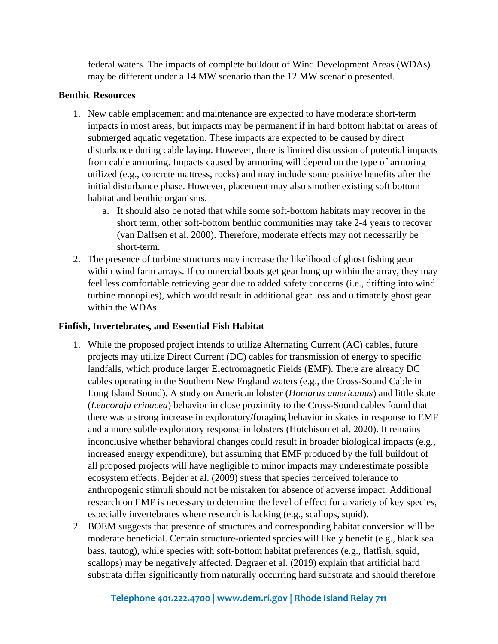federal waters. The impacts of complete buildout of Wind Development Areas (WDAs) may be different under a 14 MW scenario than the 12 MW scenario presented.

## **Benthic Resources**

- 1. New cable emplacement and maintenance are expected to have moderate short-term impacts in most areas, but impacts may be permanent if in hard bottom habitat or areas of submerged aquatic vegetation. These impacts are expected to be caused by direct disturbance during cable laying. However, there is limited discussion of potential impacts from cable armoring. Impacts caused by armoring will depend on the type of armoring utilized (e.g., concrete mattress, rocks) and may include some positive benefits after the initial disturbance phase. However, placement may also smother existing soft bottom habitat and benthic organisms.
	- a. It should also be noted that while some soft-bottom habitats may recover in the short term, other soft-bottom benthic communities may take 2-4 years to recover (van Dalfsen et al. 2000). Therefore, moderate effects may not necessarily be short-term.
- 2. The presence of turbine structures may increase the likelihood of ghost fishing gear within wind farm arrays. If commercial boats get gear hung up within the array, they may feel less comfortable retrieving gear due to added safety concerns (i.e., drifting into wind turbine monopiles), which would result in additional gear loss and ultimately ghost gear within the WDAs.

## **Finfish, Invertebrates, and Essential Fish Habitat**

- 1. While the proposed project intends to utilize Alternating Current (AC) cables, future projects may utilize Direct Current (DC) cables for transmission of energy to specific landfalls, which produce larger Electromagnetic Fields (EMF). There are already DC cables operating in the Southern New England waters (e.g., the Cross-Sound Cable in Long Island Sound). A study on American lobster (*Homarus americanus*) and little skate (*Leucoraja erinacea*) behavior in close proximity to the Cross-Sound cables found that there was a strong increase in exploratory/foraging behavior in skates in response to EMF and a more subtle exploratory response in lobsters (Hutchison et al. 2020). It remains inconclusive whether behavioral changes could result in broader biological impacts (e.g., increased energy expenditure), but assuming that EMF produced by the full buildout of all proposed projects will have negligible to minor impacts may underestimate possible ecosystem effects. Bejder et al. (2009) stress that species perceived tolerance to anthropogenic stimuli should not be mistaken for absence of adverse impact. Additional research on EMF is necessary to determine the level of effect for a variety of key species, especially invertebrates where research is lacking (e.g., scallops, squid).
- 2. BOEM suggests that presence of structures and corresponding habitat conversion will be moderate beneficial. Certain structure-oriented species will likely benefit (e.g., black sea bass, tautog), while species with soft-bottom habitat preferences (e.g., flatfish, squid, scallops) may be negatively affected. Degraer et al. (2019) explain that artificial hard substrata differ significantly from naturally occurring hard substrata and should therefore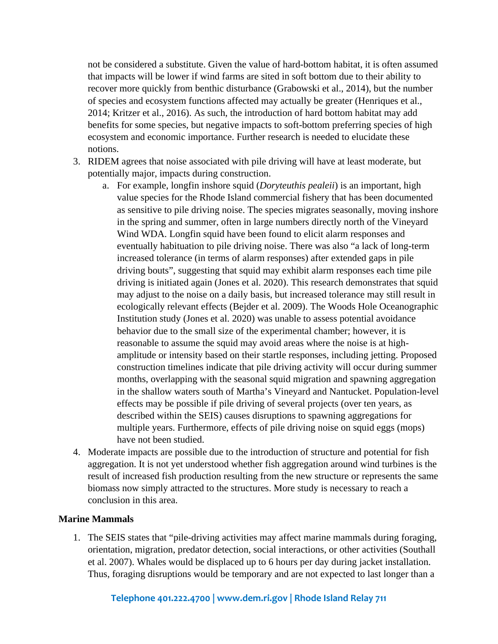not be considered a substitute. Given the value of hard-bottom habitat, it is often assumed that impacts will be lower if wind farms are sited in soft bottom due to their ability to recover more quickly from benthic disturbance (Grabowski et al., 2014), but the number of species and ecosystem functions affected may actually be greater (Henriques et al., 2014; Kritzer et al., 2016). As such, the introduction of hard bottom habitat may add benefits for some species, but negative impacts to soft-bottom preferring species of high ecosystem and economic importance. Further research is needed to elucidate these notions.

- 3. RIDEM agrees that noise associated with pile driving will have at least moderate, but potentially major, impacts during construction.
	- a. For example, longfin inshore squid (*Doryteuthis pealeii*) is an important, high value species for the Rhode Island commercial fishery that has been documented as sensitive to pile driving noise. The species migrates seasonally, moving inshore in the spring and summer, often in large numbers directly north of the Vineyard Wind WDA. Longfin squid have been found to elicit alarm responses and eventually habituation to pile driving noise. There was also "a lack of long-term increased tolerance (in terms of alarm responses) after extended gaps in pile driving bouts", suggesting that squid may exhibit alarm responses each time pile driving is initiated again (Jones et al. 2020). This research demonstrates that squid may adjust to the noise on a daily basis, but increased tolerance may still result in ecologically relevant effects (Bejder et al. 2009). The Woods Hole Oceanographic Institution study (Jones et al. 2020) was unable to assess potential avoidance behavior due to the small size of the experimental chamber; however, it is reasonable to assume the squid may avoid areas where the noise is at highamplitude or intensity based on their startle responses, including jetting. Proposed construction timelines indicate that pile driving activity will occur during summer months, overlapping with the seasonal squid migration and spawning aggregation in the shallow waters south of Martha's Vineyard and Nantucket. Population-level effects may be possible if pile driving of several projects (over ten years, as described within the SEIS) causes disruptions to spawning aggregations for multiple years. Furthermore, effects of pile driving noise on squid eggs (mops) have not been studied.
- 4. Moderate impacts are possible due to the introduction of structure and potential for fish aggregation. It is not yet understood whether fish aggregation around wind turbines is the result of increased fish production resulting from the new structure or represents the same biomass now simply attracted to the structures. More study is necessary to reach a conclusion in this area.

### **Marine Mammals**

1. The SEIS states that "pile-driving activities may affect marine mammals during foraging, orientation, migration, predator detection, social interactions, or other activities (Southall et al. 2007). Whales would be displaced up to 6 hours per day during jacket installation. Thus, foraging disruptions would be temporary and are not expected to last longer than a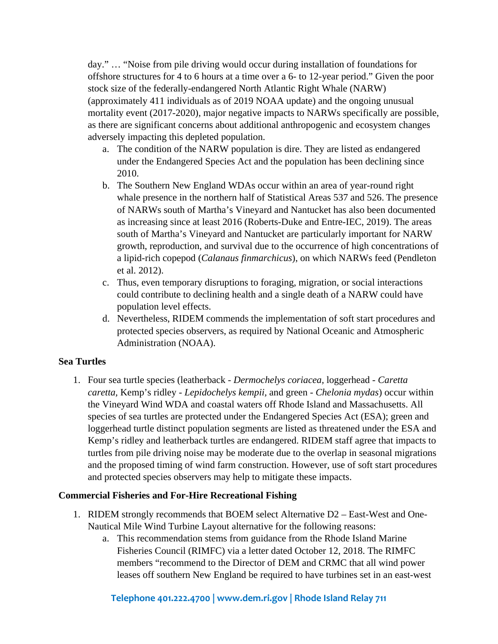day." … "Noise from pile driving would occur during installation of foundations for offshore structures for 4 to 6 hours at a time over a 6- to 12-year period." Given the poor stock size of the federally-endangered North Atlantic Right Whale (NARW) (approximately 411 individuals as of 2019 NOAA update) and the ongoing unusual mortality event (2017-2020), major negative impacts to NARWs specifically are possible, as there are significant concerns about additional anthropogenic and ecosystem changes adversely impacting this depleted population.

- a. The condition of the NARW population is dire. They are listed as endangered under the Endangered Species Act and the population has been declining since 2010.
- b. The Southern New England WDAs occur within an area of year-round right whale presence in the northern half of Statistical Areas 537 and 526. The presence of NARWs south of Martha's Vineyard and Nantucket has also been documented as increasing since at least 2016 (Roberts-Duke and Entre-IEC, 2019). The areas south of Martha's Vineyard and Nantucket are particularly important for NARW growth, reproduction, and survival due to the occurrence of high concentrations of a lipid-rich copepod (*Calanaus finmarchicus*), on which NARWs feed (Pendleton et al. 2012).
- c. Thus, even temporary disruptions to foraging, migration, or social interactions could contribute to declining health and a single death of a NARW could have population level effects.
- d. Nevertheless, RIDEM commends the implementation of soft start procedures and protected species observers, as required by National Oceanic and Atmospheric Administration (NOAA).

## **Sea Turtles**

1. Four sea turtle species (leatherback - *Dermochelys coriacea,* loggerhead - *Caretta caretta,* Kemp's ridley - *Lepidochelys kempii,* and green - *Chelonia mydas*) occur within the Vineyard Wind WDA and coastal waters off Rhode Island and Massachusetts. All species of sea turtles are protected under the Endangered Species Act (ESA); green and loggerhead turtle distinct population segments are listed as threatened under the ESA and Kemp's ridley and leatherback turtles are endangered. RIDEM staff agree that impacts to turtles from pile driving noise may be moderate due to the overlap in seasonal migrations and the proposed timing of wind farm construction. However, use of soft start procedures and protected species observers may help to mitigate these impacts.

## **Commercial Fisheries and For-Hire Recreational Fishing**

- 1. RIDEM strongly recommends that BOEM select Alternative D2 East-West and One-Nautical Mile Wind Turbine Layout alternative for the following reasons:
	- a. This recommendation stems from guidance from the Rhode Island Marine Fisheries Council (RIMFC) via a letter dated October 12, 2018. The RIMFC members "recommend to the Director of DEM and CRMC that all wind power leases off southern New England be required to have turbines set in an east-west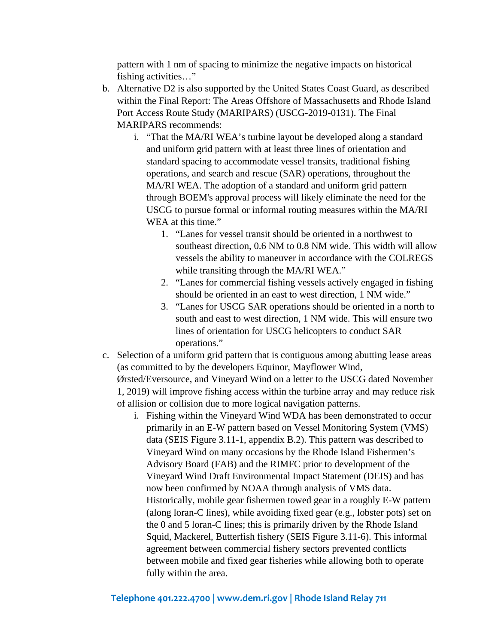pattern with 1 nm of spacing to minimize the negative impacts on historical fishing activities…"

- b. Alternative D2 is also supported by the United States Coast Guard, as described within the Final Report: The Areas Offshore of Massachusetts and Rhode Island Port Access Route Study (MARIPARS) (USCG-2019-0131). The Final MARIPARS recommends:
	- i. "That the MA/RI WEA's turbine layout be developed along a standard and uniform grid pattern with at least three lines of orientation and standard spacing to accommodate vessel transits, traditional fishing operations, and search and rescue (SAR) operations, throughout the MA/RI WEA. The adoption of a standard and uniform grid pattern through BOEM's approval process will likely eliminate the need for the USCG to pursue formal or informal routing measures within the MA/RI WEA at this time."
		- 1. "Lanes for vessel transit should be oriented in a northwest to southeast direction, 0.6 NM to 0.8 NM wide. This width will allow vessels the ability to maneuver in accordance with the COLREGS while transiting through the MA/RI WEA."
		- 2. "Lanes for commercial fishing vessels actively engaged in fishing should be oriented in an east to west direction, 1 NM wide."
		- 3. "Lanes for USCG SAR operations should be oriented in a north to south and east to west direction, 1 NM wide. This will ensure two lines of orientation for USCG helicopters to conduct SAR operations."
- c. Selection of a uniform grid pattern that is contiguous among abutting lease areas (as committed to by the developers Equinor, Mayflower Wind, Ørsted/Eversource, and Vineyard Wind on a letter to the USCG dated November 1, 2019) will improve fishing access within the turbine array and may reduce risk of allision or collision due to more logical navigation patterns.
	- i. Fishing within the Vineyard Wind WDA has been demonstrated to occur primarily in an E-W pattern based on Vessel Monitoring System (VMS) data (SEIS Figure 3.11-1, appendix B.2). This pattern was described to Vineyard Wind on many occasions by the Rhode Island Fishermen's Advisory Board (FAB) and the RIMFC prior to development of the Vineyard Wind Draft Environmental Impact Statement (DEIS) and has now been confirmed by NOAA through analysis of VMS data. Historically, mobile gear fishermen towed gear in a roughly E-W pattern (along loran-C lines), while avoiding fixed gear (e.g., lobster pots) set on the 0 and 5 loran-C lines; this is primarily driven by the Rhode Island Squid, Mackerel, Butterfish fishery (SEIS Figure 3.11-6). This informal agreement between commercial fishery sectors prevented conflicts between mobile and fixed gear fisheries while allowing both to operate fully within the area.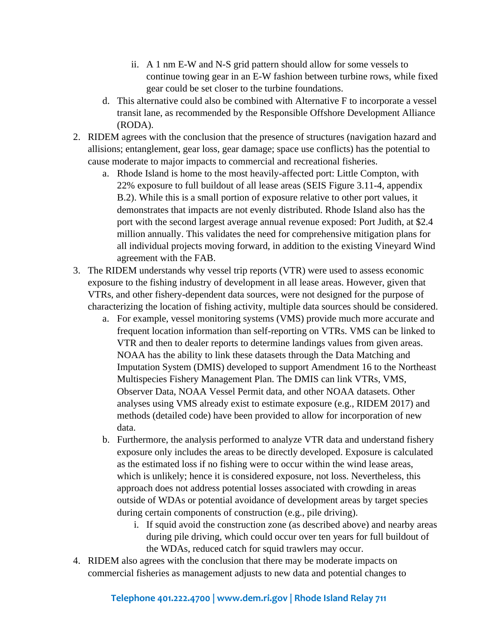- ii. A 1 nm E-W and N-S grid pattern should allow for some vessels to continue towing gear in an E-W fashion between turbine rows, while fixed gear could be set closer to the turbine foundations.
- d. This alternative could also be combined with Alternative F to incorporate a vessel transit lane, as recommended by the Responsible Offshore Development Alliance (RODA).
- 2. RIDEM agrees with the conclusion that the presence of structures (navigation hazard and allisions; entanglement, gear loss, gear damage; space use conflicts) has the potential to cause moderate to major impacts to commercial and recreational fisheries.
	- a. Rhode Island is home to the most heavily-affected port: Little Compton, with 22% exposure to full buildout of all lease areas (SEIS Figure 3.11-4, appendix B.2). While this is a small portion of exposure relative to other port values, it demonstrates that impacts are not evenly distributed. Rhode Island also has the port with the second largest average annual revenue exposed: Port Judith, at \$2.4 million annually. This validates the need for comprehensive mitigation plans for all individual projects moving forward, in addition to the existing Vineyard Wind agreement with the FAB.
- 3. The RIDEM understands why vessel trip reports (VTR) were used to assess economic exposure to the fishing industry of development in all lease areas. However, given that VTRs, and other fishery-dependent data sources, were not designed for the purpose of characterizing the location of fishing activity, multiple data sources should be considered.
	- a. For example, vessel monitoring systems (VMS) provide much more accurate and frequent location information than self-reporting on VTRs. VMS can be linked to VTR and then to dealer reports to determine landings values from given areas. NOAA has the ability to link these datasets through the Data Matching and Imputation System (DMIS) developed to support Amendment 16 to the Northeast Multispecies Fishery Management Plan. The DMIS can link VTRs, VMS, Observer Data, NOAA Vessel Permit data, and other NOAA datasets. Other analyses using VMS already exist to estimate exposure (e.g., RIDEM 2017) and methods (detailed code) have been provided to allow for incorporation of new data.
	- b. Furthermore, the analysis performed to analyze VTR data and understand fishery exposure only includes the areas to be directly developed. Exposure is calculated as the estimated loss if no fishing were to occur within the wind lease areas, which is unlikely; hence it is considered exposure, not loss. Nevertheless, this approach does not address potential losses associated with crowding in areas outside of WDAs or potential avoidance of development areas by target species during certain components of construction (e.g., pile driving).
		- i. If squid avoid the construction zone (as described above) and nearby areas during pile driving, which could occur over ten years for full buildout of the WDAs, reduced catch for squid trawlers may occur.
- 4. RIDEM also agrees with the conclusion that there may be moderate impacts on commercial fisheries as management adjusts to new data and potential changes to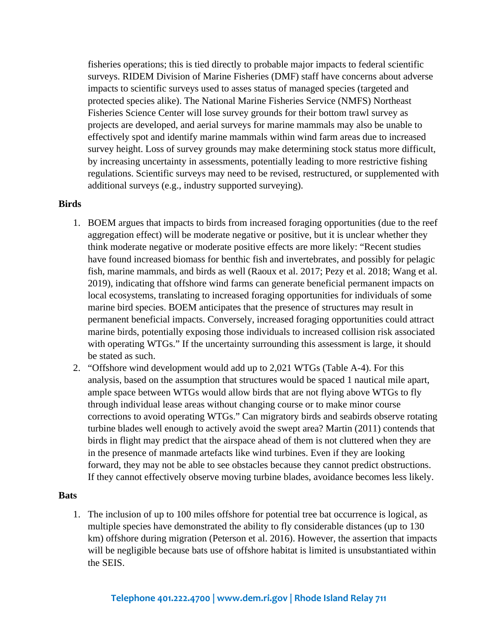fisheries operations; this is tied directly to probable major impacts to federal scientific surveys. RIDEM Division of Marine Fisheries (DMF) staff have concerns about adverse impacts to scientific surveys used to asses status of managed species (targeted and protected species alike). The National Marine Fisheries Service (NMFS) Northeast Fisheries Science Center will lose survey grounds for their bottom trawl survey as projects are developed, and aerial surveys for marine mammals may also be unable to effectively spot and identify marine mammals within wind farm areas due to increased survey height. Loss of survey grounds may make determining stock status more difficult, by increasing uncertainty in assessments, potentially leading to more restrictive fishing regulations. Scientific surveys may need to be revised, restructured, or supplemented with additional surveys (e.g., industry supported surveying).

#### **Birds**

- 1. BOEM argues that impacts to birds from increased foraging opportunities (due to the reef aggregation effect) will be moderate negative or positive, but it is unclear whether they think moderate negative or moderate positive effects are more likely: "Recent studies have found increased biomass for benthic fish and invertebrates, and possibly for pelagic fish, marine mammals, and birds as well (Raoux et al. 2017; Pezy et al. 2018; Wang et al. 2019), indicating that offshore wind farms can generate beneficial permanent impacts on local ecosystems, translating to increased foraging opportunities for individuals of some marine bird species. BOEM anticipates that the presence of structures may result in permanent beneficial impacts. Conversely, increased foraging opportunities could attract marine birds, potentially exposing those individuals to increased collision risk associated with operating WTGs." If the uncertainty surrounding this assessment is large, it should be stated as such.
- 2. "Offshore wind development would add up to 2,021 WTGs (Table A-4). For this analysis, based on the assumption that structures would be spaced 1 nautical mile apart, ample space between WTGs would allow birds that are not flying above WTGs to fly through individual lease areas without changing course or to make minor course corrections to avoid operating WTGs." Can migratory birds and seabirds observe rotating turbine blades well enough to actively avoid the swept area? Martin (2011) contends that birds in flight may predict that the airspace ahead of them is not cluttered when they are in the presence of manmade artefacts like wind turbines. Even if they are looking forward, they may not be able to see obstacles because they cannot predict obstructions. If they cannot effectively observe moving turbine blades, avoidance becomes less likely.

#### **Bats**

1. The inclusion of up to 100 miles offshore for potential tree bat occurrence is logical, as multiple species have demonstrated the ability to fly considerable distances (up to 130 km) offshore during migration (Peterson et al. 2016). However, the assertion that impacts will be negligible because bats use of offshore habitat is limited is unsubstantiated within the SEIS.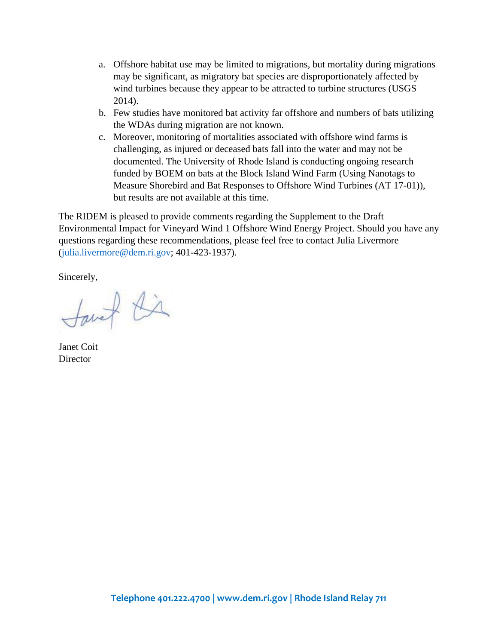- a. Offshore habitat use may be limited to migrations, but mortality during migrations may be significant, as migratory bat species are disproportionately affected by wind turbines because they appear to be attracted to turbine structures (USGS 2014).
- b. Few studies have monitored bat activity far offshore and numbers of bats utilizing the WDAs during migration are not known.
- c. Moreover, monitoring of mortalities associated with offshore wind farms is challenging, as injured or deceased bats fall into the water and may not be documented. The University of Rhode Island is conducting ongoing research funded by BOEM on bats at the Block Island Wind Farm (Using Nanotags to Measure Shorebird and Bat Responses to Offshore Wind Turbines (AT 17-01)), but results are not available at this time.

The RIDEM is pleased to provide comments regarding the Supplement to the Draft Environmental Impact for Vineyard Wind 1 Offshore Wind Energy Project. Should you have any questions regarding these recommendations, please feel free to contact Julia Livermore (julia.livermore@dem.ri.gov; 401-423-1937).

Sincerely,

Savet Kir

Janet Coit **Director**